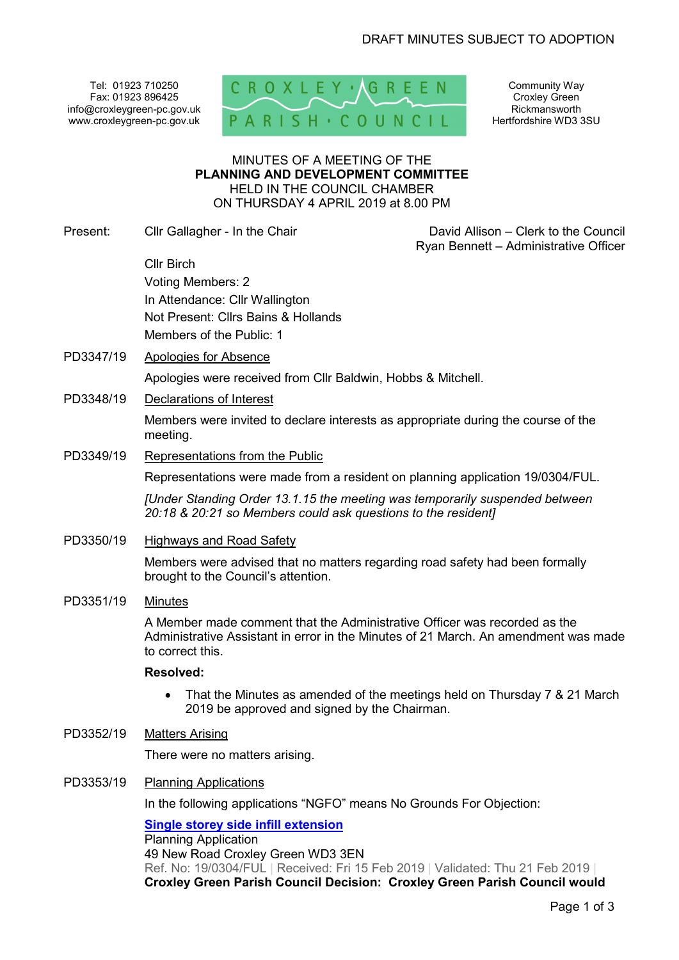Tel: 01923 710250 Fax: 01923 896425 info@croxleygreen-pc.gov.uk www.croxleygreen-pc.gov.uk



Community Way Croxley Green Rickmansworth Hertfordshire WD3 3SU

#### MINUTES OF A MEETING OF THE **PLANNING AND DEVELOPMENT COMMITTEE** HELD IN THE COUNCIL CHAMBER ON THURSDAY 4 APRIL 2019 at 8.00 PM

Present: Cllr Gallagher - In the Chair Chair David Allison – Clerk to the Council

Ryan Bennett – Administrative Officer

Cllr Birch Voting Members: 2 In Attendance: Cllr Wallington Not Present: Cllrs Bains & Hollands Members of the Public: 1

PD3347/19 Apologies for Absence

Apologies were received from Cllr Baldwin, Hobbs & Mitchell.

PD3348/19 Declarations of Interest

Members were invited to declare interests as appropriate during the course of the meeting.

PD3349/19 Representations from the Public

Representations were made from a resident on planning application 19/0304/FUL.

*[Under Standing Order 13.1.15 the meeting was temporarily suspended between 20:18 & 20:21 so Members could ask questions to the resident]* 

PD3350/19 Highways and Road Safety

Members were advised that no matters regarding road safety had been formally brought to the Council's attention.

PD3351/19 Minutes

A Member made comment that the Administrative Officer was recorded as the Administrative Assistant in error in the Minutes of 21 March. An amendment was made to correct this.

## **Resolved:**

- That the Minutes as amended of the meetings held on Thursday 7 & 21 March 2019 be approved and signed by the Chairman.
- PD3352/19 Matters Arising

There were no matters arising.

### PD3353/19 Planning Applications

In the following applications "NGFO" means No Grounds For Objection:

**Single storey side infill extension** Planning Application 49 New Road Croxley Green WD3 3EN Ref. No: 19/0304/FUL | Received: Fri 15 Feb 2019 | Validated: Thu 21 Feb 2019 | **Croxley Green Parish Council Decision: Croxley Green Parish Council would**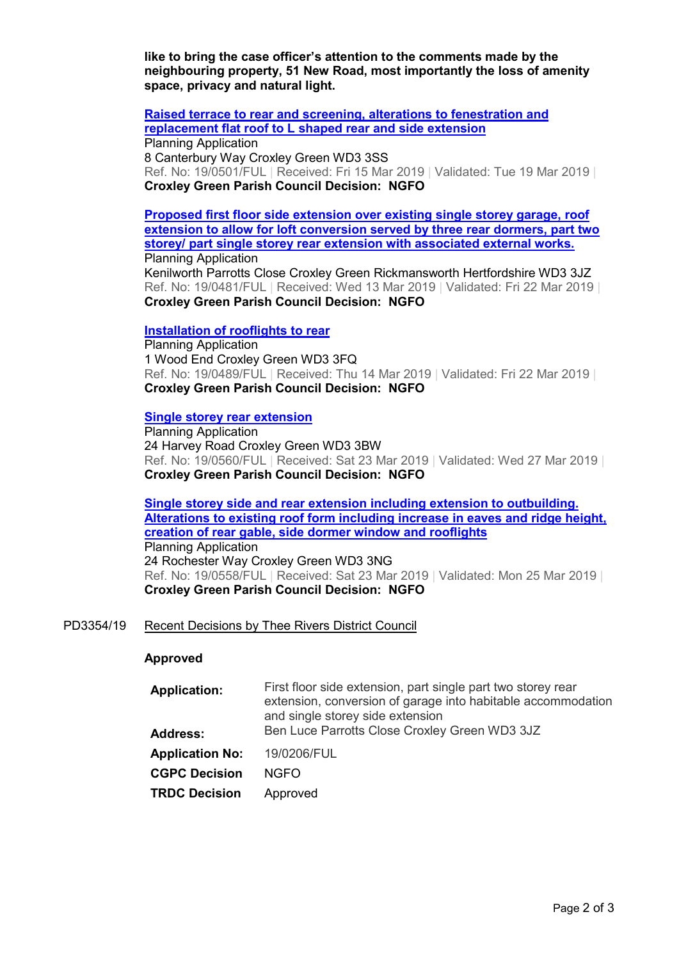**like to bring the case officer's attention to the comments made by the neighbouring property, 51 New Road, most importantly the loss of amenity space, privacy and natural light.** 

**Raised terrace to rear and screening, alterations to fenestration and replacement flat roof to L shaped rear and side extension** Planning Application 8 Canterbury Way Croxley Green WD3 3SS Ref. No: 19/0501/FUL | Received: Fri 15 Mar 2019 | Validated: Tue 19 Mar 2019 | **Croxley Green Parish Council Decision: NGFO** 

**Proposed first floor side extension over existing single storey garage, roof extension to allow for loft conversion served by three rear dormers, part two storey/ part single storey rear extension with associated external works.** Planning Application Kenilworth Parrotts Close Croxley Green Rickmansworth Hertfordshire WD3 3JZ Ref. No: 19/0481/FUL | Received: Wed 13 Mar 2019 | Validated: Fri 22 Mar 2019 | **Croxley Green Parish Council Decision: NGFO** 

## **Installation of rooflights to rear**

Planning Application 1 Wood End Croxley Green WD3 3FQ Ref. No: 19/0489/FUL | Received: Thu 14 Mar 2019 | Validated: Fri 22 Mar 2019 | **Croxley Green Parish Council Decision: NGFO** 

### **Single storey rear extension**

Planning Application 24 Harvey Road Croxley Green WD3 3BW Ref. No: 19/0560/FUL | Received: Sat 23 Mar 2019 | Validated: Wed 27 Mar 2019 | **Croxley Green Parish Council Decision: NGFO** 

**Single storey side and rear extension including extension to outbuilding. Alterations to existing roof form including increase in eaves and ridge height, creation of rear gable, side dormer window and rooflights** Planning Application 24 Rochester Way Croxley Green WD3 3NG Ref. No: 19/0558/FUL | Received: Sat 23 Mar 2019 | Validated: Mon 25 Mar 2019 | **Croxley Green Parish Council Decision: NGFO** 

## PD3354/19 Recent Decisions by Thee Rivers District Council

#### **Approved**

- **Application:** First floor side extension, part single part two storey rear extension, conversion of garage into habitable accommodation and single storey side extension **Address:** Ben Luce Parrotts Close Croxley Green WD3 3JZ
- **Application No:** 19/0206/FUL

**CGPC Decision** NGFO

**TRDC Decision** Approved